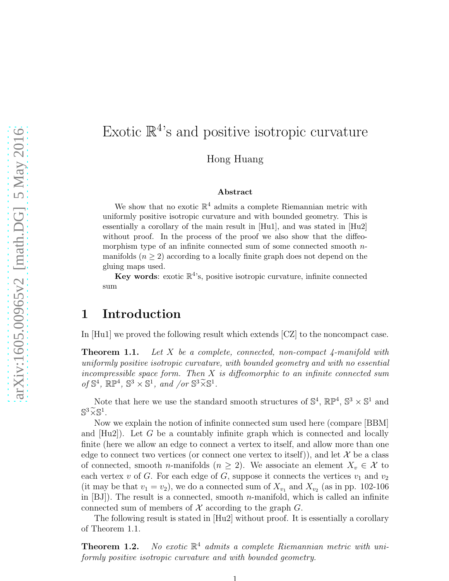# Exotic  $\mathbb{R}^4$ 's and positive isotropic curvature

Hong Huang

#### Abstract

We show that no exotic  $\mathbb{R}^4$  admits a complete Riemannian metric with uniformly positive isotropic curvature and with bounded geometry. This is essentially a corollary of the main result in [Hu1], and was stated in [Hu2] without proof. In the process of the proof we also show that the diffeomorphism type of an infinite connected sum of some connected smooth nmanifolds  $(n \geq 2)$  according to a locally finite graph does not depend on the gluing maps used.

Key words: exotic  $\mathbb{R}^4$ 's, positive isotropic curvature, infinite connected sum

# 1 Introduction

In [Hu1] we proved the following result which extends [CZ] to the noncompact case.

**Theorem 1.1.** Let X be a complete, connected, non-compact 4-manifold with uniformly positive isotropic curvature, with bounded geometry and with no essential incompressible space form. Then  $X$  is diffeomorphic to an infinite connected sum of  $\mathbb{S}^4$ ,  $\mathbb{RP}^4$ ,  $\mathbb{S}^3 \times \mathbb{S}^1$ , and /or  $\mathbb{S}^3 \widetilde{\times} \mathbb{S}^1$ .

Note that here we use the standard smooth structures of  $\mathbb{S}^4$ ,  $\mathbb{RP}^4$ ,  $\mathbb{S}^3 \times \mathbb{S}^1$  and  $\mathbb{S}^3 \widetilde{\times} \mathbb{S}^1$ .

Now we explain the notion of infinite connected sum used here (compare [BBM] and  $[Hu2]$ . Let G be a countably infinite graph which is connected and locally finite (here we allow an edge to connect a vertex to itself, and allow more than one edge to connect two vertices (or connect one vertex to itself)), and let  $\mathcal X$  be a class of connected, smooth *n*-manifolds ( $n \geq 2$ ). We associate an element  $X_v \in \mathcal{X}$  to each vertex v of G. For each edge of G, suppose it connects the vertices  $v_1$  and  $v_2$ (it may be that  $v_1 = v_2$ ), we do a connected sum of  $X_{v_1}$  and  $X_{v_2}$  (as in pp. 102-106) in  $[BJ]$ ). The result is a connected, smooth *n*-manifold, which is called an infinite connected sum of members of  $\mathcal X$  according to the graph  $G$ .

The following result is stated in [Hu2] without proof. It is essentially a corollary of Theorem 1.1.

Theorem 1.2. No exotic  $\mathbb{R}^4$  admits a complete Riemannian metric with uniformly positive isotropic curvature and with bounded geometry.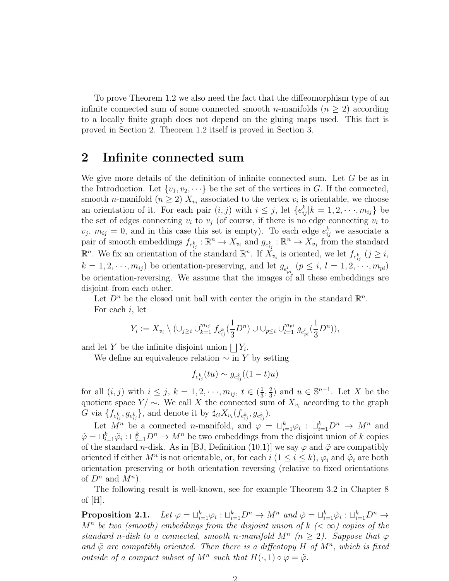To prove Theorem 1.2 we also need the fact that the diffeomorphism type of an infinite connected sum of some connected smooth *n*-manifolds  $(n \geq 2)$  according to a locally finite graph does not depend on the gluing maps used. This fact is proved in Section 2. Theorem 1.2 itself is proved in Section 3.

## 2 Infinite connected sum

We give more details of the definition of infinite connected sum. Let  $G$  be as in the Introduction. Let  $\{v_1, v_2, \dots\}$  be the set of the vertices in G. If the connected, smooth *n*-manifold  $(n \geq 2)$   $X_{v_i}$  associated to the vertex  $v_i$  is orientable, we choose an orientation of it. For each pair  $(i, j)$  with  $i \leq j$ , let  $\{e_{ij}^k | k = 1, 2, \dots, m_{ij}\}$  be the set of edges connecting  $v_i$  to  $v_j$  (of course, if there is no edge connecting  $v_i$  to  $v_j$ ,  $m_{ij} = 0$ , and in this case this set is empty). To each edge  $e_{ij}^k$  we associate a pair of smooth embeddings  $f_{e_{ij}^k}: \mathbb{R}^n \to X_{v_i}$  and  $g_{e_{ij}^k}: \mathbb{R}^n \to X_{v_j}$  from the standard  $\mathbb{R}^n$ . We fix an orientation of the standard  $\mathbb{R}^n$ . If  $\check{X}_{v_i}$  is oriented, we let  $f_{e_{ij}^k}$   $(j \geq i,$  $k = 1, 2, \dots, m_{ij}$  be orientation-preserving, and let  $g_{e_{pi}^{l}}$   $(p \leq i, l = 1, 2, \dots, m_{pi})$ be orientation-reversing. We assume that the images of all these embeddings are disjoint from each other.

Let  $D^n$  be the closed unit ball with center the origin in the standard  $\mathbb{R}^n$ . For each i, let

$$
Y_i:=X_{v_i}\setminus (\cup_{j\geq i} \cup_{k=1}^{m_{ij}} f_{e_{ij}^k}(\frac{1}{3}D^n)\cup \cup_{p\leq i} \cup_{l=1}^{m_{pi}} g_{e_{pi}^l}(\frac{1}{3}D^n)),
$$

and let Y be the infinite disjoint union  $\bigsqcup Y_i$ .

We define an equivalence relation  $\sim$  in Y by setting

$$
f_{e_{ij}^k}(tu) \sim g_{e_{ij}^k}((1-t)u)
$$

for all  $(i, j)$  with  $i \leq j$ ,  $k = 1, 2, \dots, m_{ij}$ ,  $t \in \left(\frac{1}{3}\right)$  $\frac{1}{3}, \frac{2}{3}$  $\frac{2}{3}$ ) and  $u \in \mathbb{S}^{n-1}$ . Let X be the quotient space  $Y/\sim$ . We call X the connected sum of  $X_{v_i}$  according to the graph G via  $\{f_{e_{ij}^k}, g_{e_{ij}^k}\}\$ , and denote it by  $\sharp_G X_{v_i}(f_{e_{ij}^k}, g_{e_{ij}^k})\$ .

Let  $M^n$  be a connected *n*-manifold, and  $\varphi = \sqcup_{i=1}^k \varphi_i : \sqcup_{i=1}^k D^n \to M^n$  and  $\tilde{\varphi} = \bigcup_{i=1}^k \tilde{\varphi}_i : \bigcup_{i=1}^k D^n \to M^n$  be two embeddings from the disjoint union of k copies of the standard *n*-disk. As in [BJ, Definition (10.1)] we say  $\varphi$  and  $\tilde{\varphi}$  are compatibly oriented if either  $M^n$  is not orientable, or, for each  $i$   $(1 \leq i \leq k)$ ,  $\varphi_i$  and  $\tilde{\varphi}_i$  are both orientation preserving or both orientation reversing (relative to fixed orientations of  $D^n$  and  $M^n$ ).

The following result is well-known, see for example Theorem 3.2 in Chapter 8 of  $[H]$ .

Proposition 2.1.  $k_{i=1}^{k} \varphi_i : \sqcup_{i=1}^{k} D^n \to M^n$  and  $\tilde{\varphi} = \sqcup_{i=1}^{k} \tilde{\varphi}_i : \sqcup_{i=1}^{k} D^n \to M^n$  $M^n$  be two (smooth) embeddings from the disjoint union of  $k$  ( $\lt \infty$ ) copies of the standard n-disk to a connected, smooth n-manifold  $M^n$  ( $n \geq 2$ ). Suppose that  $\varphi$ and  $\tilde{\varphi}$  are compatibly oriented. Then there is a diffeotopy H of  $M^n$ , which is fixed outside of a compact subset of  $M^n$  such that  $H(\cdot, 1) \circ \varphi = \tilde{\varphi}$ .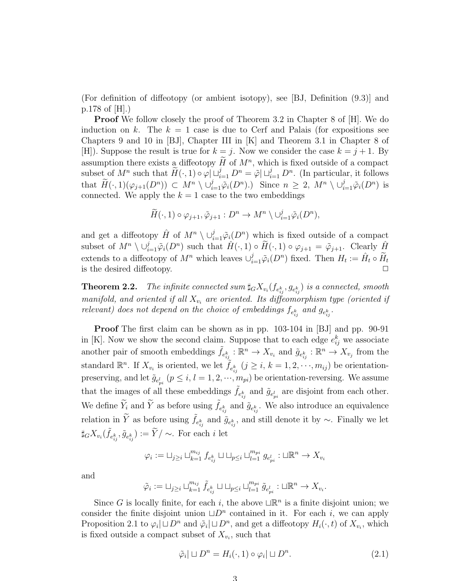(For definition of diffeotopy (or ambient isotopy), see [BJ, Definition (9.3)] and p.178 of [H].)

**Proof** We follow closely the proof of Theorem 3.2 in Chapter 8 of [H]. We do induction on k. The  $k = 1$  case is due to Cerf and Palais (for expositions see Chapters 9 and 10 in [BJ], Chapter III in [K] and Theorem 3.1 in Chapter 8 of [H]). Suppose the result is true for  $k = j$ . Now we consider the case  $k = j + 1$ . By assumption there exists a diffeotopy  $\tilde{H}$  of  $M^n$ , which is fixed outside of a compact subset of  $M^n$  such that  $\widetilde{H}(\cdot,1) \circ \varphi | \sqcup_{i=1}^j D^n = \widetilde{\varphi} | \sqcup_{i=1}^j D^n$ . (In particular, it follows that  $\widetilde{H}(\cdot,1)(\varphi_{j+1}(D^n)) \subset M^n \setminus \cup_{i=1}^j \widetilde{\varphi}_i(D^n)$ . Since  $n \geq 2$ ,  $M^n \setminus \cup_{i=1}^j \widetilde{\varphi}_i(D^n)$  is connected. We apply the  $k = 1$  case to the two embeddings

$$
\widetilde{H}(\cdot,1)\circ\varphi_{j+1},\widetilde{\varphi}_{j+1}:D^n\to M^n\setminus\cup_{i=1}^j\widetilde{\varphi}_i(D^n),
$$

and get a diffeotopy  $\hat{H}$  of  $M^n \setminus \cup_{i=1}^j \tilde{\varphi}_i(D^n)$  which is fixed outside of a compact subset of  $M^n \setminus \cup_{i=1}^j \tilde{\varphi}_i(D^n)$  such that  $\hat{H}(\cdot, 1) \circ \tilde{H}(\cdot, 1) \circ \varphi_{j+1} = \tilde{\varphi}_{j+1}$ . Clearly  $\hat{H}$ extends to a diffeotopy of  $M^n$  which leaves  $\cup_{i=1}^j \tilde{\varphi}_i(D^n)$  fixed. Then  $H_t := \hat{H}_t \circ \tilde{H}_t$ is the desired diffeotopy.

**Theorem 2.2.** The infinite connected sum  $\sharp_G X_{v_i}(f_{e_{ij}^k}, g_{e_{ij}^k})$  is a connected, smooth manifold, and oriented if all  $X_{v_i}$  are oriented. Its diffeomorphism type (oriented if relevant) does not depend on the choice of embeddings  $f_{e_{ij}^k}$  and  $g_{e_{ij}^k}$ .

Proof The first claim can be shown as in pp. 103-104 in [BJ] and pp. 90-91 in [K]. Now we show the second claim. Suppose that to each edge  $e_{ij}^k$  we associate another pair of smooth embeddings  $\tilde{f}_{e_{ij}^k}: \mathbb{R}^n \to X_{v_i}$  and  $\tilde{g}_{e_{ij}^k}: \mathbb{R}^n \to X_{v_j}$  from the standard  $\mathbb{R}^n$ . If  $X_{v_i}$  is oriented, we let  $\tilde{f}_{e_{ij}^k}$   $(j \geq i, k = 1, 2, \dots, m_{ij})$  be orientationpreserving, and let  $\tilde{g}_{e_{pi}^l}$   $(p \leq i, l = 1, 2, \cdots, m_{pi})$  be orientation-reversing. We assume that the images of all these embeddings  $\tilde{f}_{e_{ij}^k}$  and  $\tilde{g}_{e_{pi}^l}$  are disjoint from each other. We define  $\widetilde{Y}_i$  and  $\widetilde{Y}$  as before using  $\widetilde{f}_{e_{ij}^k}$  and  $\widetilde{g}_{e_{ij}^k}$ . We also introduce an equivalence relation in  $\tilde{Y}$  as before using  $\tilde{f}_{e_{ij}^k}$  and  $\tilde{g}_{e_{ij}^k}$ , and still denote it by  $\sim$ . Finally we let  $\sharp_G X_{v_i}(\tilde{f}_{e_{ij}^k}, \tilde{g}_{e_{ij}^k}) := \widetilde{Y}/\sim$ . For each *i* let

$$
\varphi_i := \sqcup_{j \geq i} \sqcup_{k=1}^{m_{ij}} f_{e_{ij}^k} \sqcup \sqcup_{p \leq i} \sqcup_{l=1}^{m_{pi}} g_{e_{pi}^l} : \sqcup \mathbb{R}^n \to X_{v_i}
$$

and

$$
\tilde{\varphi}_i:=\sqcup_{j\geq i}\sqcup_{k=1}^{m_{ij}}\tilde{f}_{e_{ij}^k}\sqcup\sqcup_{p\leq i}\sqcup_{l=1}^{m_{pi}}\tilde{g}_{e_{pi}^l}:\sqcup\mathbb{R}^n\rightarrow X_{v_i}.
$$

Since G is locally finite, for each i, the above  $\Box \mathbb{R}^n$  is a finite disjoint union; we consider the finite disjoint union  $\Box D^n$  contained in it. For each *i*, we can apply Proposition 2.1 to  $\varphi_i \mid \sqcup D^n$  and  $\tilde{\varphi}_i \mid \sqcup D^n$ , and get a diffeotopy  $H_i(\cdot, t)$  of  $X_{v_i}$ , which is fixed outside a compact subset of  $X_{v_i}$ , such that

$$
\tilde{\varphi}_i \vert \sqcup D^n = H_i(\cdot, 1) \circ \varphi_i \vert \sqcup D^n. \tag{2.1}
$$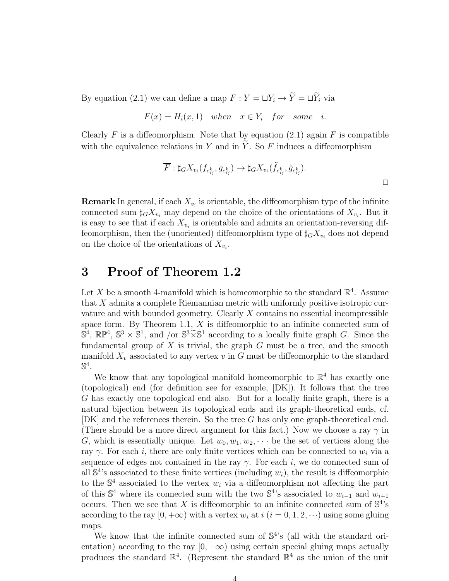By equation (2.1) we can define a map  $F: Y = \sqcup Y_i \rightarrow \widetilde{Y} = \sqcup \widetilde{Y}_i$  via

$$
F(x) = H_i(x, 1) \quad when \quad x \in Y_i \quad for \quad some \quad i.
$$

Clearly F is a diffeomorphism. Note that by equation  $(2.1)$  again F is compatible with the equivalence relations in Y and in  $\widetilde{Y}$ . So F induces a diffeomorphism

$$
\overline{F}: \sharp_G X_{v_i}(f_{e_{ij}^k}, g_{e_{ij}^k}) \to \sharp_G X_{v_i}(\tilde{f}_{e_{ij}^k}, \tilde{g}_{e_{ij}^k}).
$$

**Remark** In general, if each  $X_{v_i}$  is orientable, the diffeomorphism type of the infinite connected sum  $\sharp_G X_{v_i}$  may depend on the choice of the orientations of  $X_{v_i}$ . But it is easy to see that if each  $X_{v_i}$  is orientable and admits an orientation-reversing diffeomorphism, then the (unoriented) diffeomorphism type of  $\sharp_G X_{v_i}$  does not depend on the choice of the orientations of  $X_{v_i}$ .

# 3 Proof of Theorem 1.2

Let X be a smooth 4-manifold which is homeomorphic to the standard  $\mathbb{R}^4$ . Assume that X admits a complete Riemannian metric with uniformly positive isotropic curvature and with bounded geometry. Clearly  $X$  contains no essential incompressible space form. By Theorem 1.1, X is diffeomorphic to an infinite connected sum of  $\mathbb{S}^4$ ,  $\mathbb{RP}^4$ ,  $\mathbb{S}^3 \times \mathbb{S}^1$ , and /or  $\mathbb{S}^3 \times \mathbb{S}^1$  according to a locally finite graph G. Since the fundamental group of  $X$  is trivial, the graph  $G$  must be a tree, and the smooth manifold  $X_v$  associated to any vertex v in G must be diffeomorphic to the standard  $\mathbb{S}^4$  .

We know that any topological manifold homeomorphic to  $\mathbb{R}^4$  has exactly one (topological) end (for definition see for example, [DK]). It follows that the tree G has exactly one topological end also. But for a locally finite graph, there is a natural bijection between its topological ends and its graph-theoretical ends, cf. [DK] and the references therein. So the tree G has only one graph-theoretical end. (There should be a more direct argument for this fact.) Now we choose a ray  $\gamma$  in G, which is essentially unique. Let  $w_0, w_1, w_2, \cdots$  be the set of vertices along the ray  $\gamma$ . For each i, there are only finite vertices which can be connected to  $w_i$  via a sequence of edges not contained in the ray  $\gamma$ . For each i, we do connected sum of all  $\mathbb{S}^4$ 's associated to these finite vertices (including  $w_i$ ), the result is diffeomorphic to the  $\mathbb{S}^4$  associated to the vertex  $w_i$  via a diffeomorphism not affecting the part of this  $\mathbb{S}^4$  where its connected sum with the two  $\mathbb{S}^4$ 's associated to  $w_{i-1}$  and  $w_{i+1}$ occurs. Then we see that X is diffeomorphic to an infinite connected sum of  $\mathbb{S}^4$ 's according to the ray  $[0, +\infty)$  with a vertex  $w_i$  at  $i$   $(i = 0, 1, 2, \cdots)$  using some gluing maps.

We know that the infinite connected sum of  $\mathbb{S}^4$ 's (all with the standard orientation) according to the ray  $[0, +\infty)$  using certain special gluing maps actually produces the standard  $\mathbb{R}^4$ . (Represent the standard  $\mathbb{R}^4$  as the union of the unit